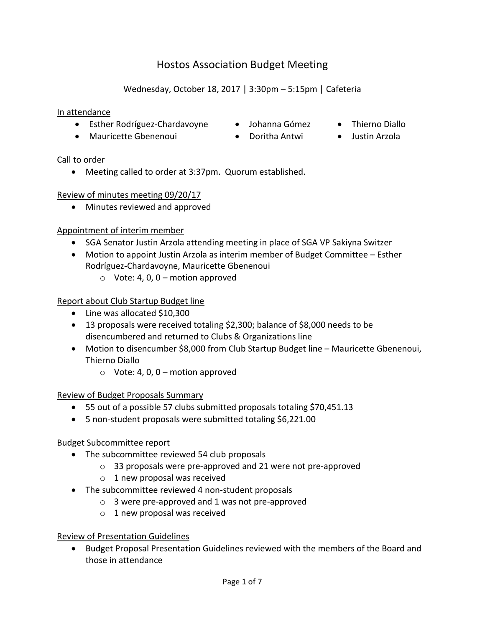# Hostos Association Budget Meeting

## Wednesday, October 18, 2017 | 3:30pm – 5:15pm | Cafeteria

#### In attendance

- Esther Rodríguez-Chardavoyne Johanna Gómez Thierno Diallo
- Mauricette Gbenenoui Doritha Antwi Justin Arzola
- 
- 
- 

#### Call to order

Meeting called to order at 3:37pm. Quorum established.

#### Review of minutes meeting 09/20/17

Minutes reviewed and approved

#### Appointment of interim member

- SGA Senator Justin Arzola attending meeting in place of SGA VP Sakiyna Switzer
- Motion to appoint Justin Arzola as interim member of Budget Committee Esther Rodríguez-Chardavoyne, Mauricette Gbenenoui
	- $\circ$  Vote: 4, 0, 0 motion approved

#### Report about Club Startup Budget line

- Line was allocated \$10,300
- 13 proposals were received totaling \$2,300; balance of \$8,000 needs to be disencumbered and returned to Clubs & Organizations line
- Motion to disencumber \$8,000 from Club Startup Budget line Mauricette Gbenenoui, Thierno Diallo
	- $\circ$  Vote: 4, 0, 0 motion approved

#### Review of Budget Proposals Summary

- 55 out of a possible 57 clubs submitted proposals totaling \$70,451.13
- 5 non-student proposals were submitted totaling \$6,221.00

#### Budget Subcommittee report

- The subcommittee reviewed 54 club proposals
	- o 33 proposals were pre-approved and 21 were not pre-approved
	- $\circ$  1 new proposal was received
- The subcommittee reviewed 4 non-student proposals
	- o 3 were pre-approved and 1 was not pre-approved
	- o 1 new proposal was received

#### Review of Presentation Guidelines

 Budget Proposal Presentation Guidelines reviewed with the members of the Board and those in attendance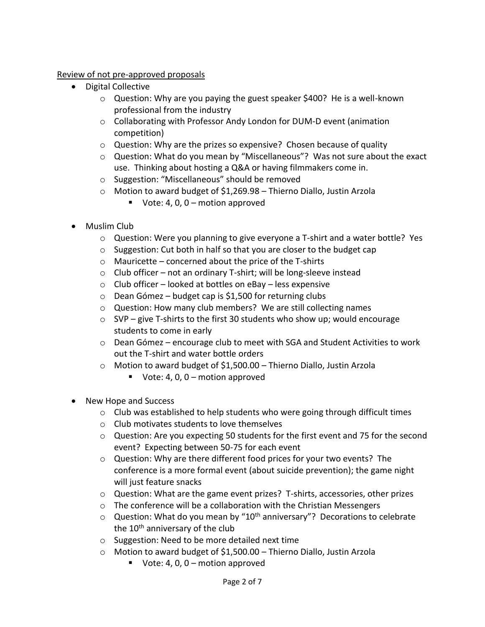Review of not pre-approved proposals

- Digital Collective
	- o Question: Why are you paying the guest speaker \$400? He is a well-known professional from the industry
	- o Collaborating with Professor Andy London for DUM-D event (animation competition)
	- o Question: Why are the prizes so expensive? Chosen because of quality
	- o Question: What do you mean by "Miscellaneous"? Was not sure about the exact use. Thinking about hosting a Q&A or having filmmakers come in.
	- o Suggestion: "Miscellaneous" should be removed
	- o Motion to award budget of \$1,269.98 Thierno Diallo, Justin Arzola
		- Vote: 4, 0,  $0 -$  motion approved
- Muslim Club
	- o Question: Were you planning to give everyone a T-shirt and a water bottle? Yes
	- o Suggestion: Cut both in half so that you are closer to the budget cap
	- o Mauricette concerned about the price of the T-shirts
	- $\circ$  Club officer not an ordinary T-shirt; will be long-sleeve instead
	- o Club officer looked at bottles on eBay less expensive
	- $\circ$  Dean Gómez budget cap is \$1,500 for returning clubs
	- o Question: How many club members? We are still collecting names
	- $\circ$  SVP give T-shirts to the first 30 students who show up; would encourage students to come in early
	- o Dean Gómez encourage club to meet with SGA and Student Activities to work out the T-shirt and water bottle orders
	- o Motion to award budget of \$1,500.00 Thierno Diallo, Justin Arzola
		- Vote: 4, 0,  $0 -$  motion approved
- New Hope and Success
	- o Club was established to help students who were going through difficult times
	- o Club motivates students to love themselves
	- $\circ$  Question: Are you expecting 50 students for the first event and 75 for the second event? Expecting between 50-75 for each event
	- o Question: Why are there different food prices for your two events? The conference is a more formal event (about suicide prevention); the game night will just feature snacks
	- $\circ$  Question: What are the game event prizes? T-shirts, accessories, other prizes
	- o The conference will be a collaboration with the Christian Messengers
	- $\circ$  Question: What do you mean by "10<sup>th</sup> anniversary"? Decorations to celebrate the 10<sup>th</sup> anniversary of the club
	- o Suggestion: Need to be more detailed next time
	- o Motion to award budget of \$1,500.00 Thierno Diallo, Justin Arzola
		- Vote: 4, 0,  $0 -$  motion approved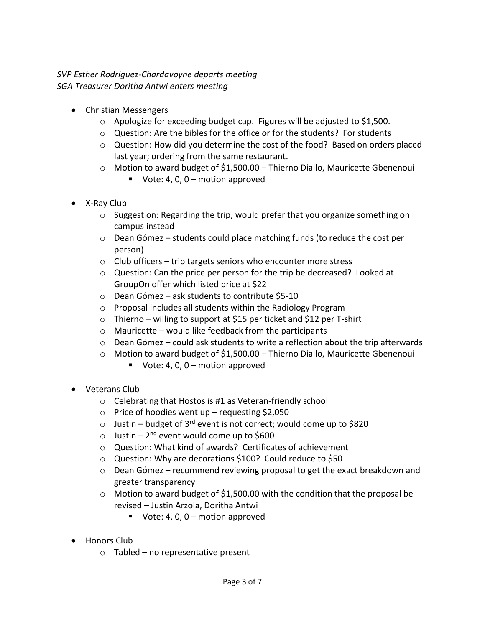### *SVP Esther Rodríguez-Chardavoyne departs meeting SGA Treasurer Doritha Antwi enters meeting*

- Christian Messengers
	- o Apologize for exceeding budget cap. Figures will be adjusted to \$1,500.
	- $\circ$  Question: Are the bibles for the office or for the students? For students
	- $\circ$  Question: How did you determine the cost of the food? Based on orders placed last year; ordering from the same restaurant.
	- $\circ$  Motion to award budget of \$1,500.00 Thierno Diallo, Mauricette Gbenenoui
		- Vote: 4, 0,  $0 -$  motion approved
- X-Ray Club
	- $\circ$  Suggestion: Regarding the trip, would prefer that you organize something on campus instead
	- $\circ$  Dean Gómez students could place matching funds (to reduce the cost per person)
	- $\circ$  Club officers trip targets seniors who encounter more stress
	- o Question: Can the price per person for the trip be decreased? Looked at GroupOn offer which listed price at \$22
	- o Dean Gómez ask students to contribute \$5-10
	- o Proposal includes all students within the Radiology Program
	- $\circ$  Thierno willing to support at \$15 per ticket and \$12 per T-shirt
	- o Mauricette would like feedback from the participants
	- $\circ$  Dean Gómez could ask students to write a reflection about the trip afterwards
	- o Motion to award budget of \$1,500.00 Thierno Diallo, Mauricette Gbenenoui
		- Vote: 4, 0,  $0$  motion approved
- Veterans Club
	- o Celebrating that Hostos is #1 as Veteran-friendly school
	- $\circ$  Price of hoodies went up requesting \$2,050
	- $\circ$  Justin budget of 3<sup>rd</sup> event is not correct; would come up to \$820
	- o Justin 2<sup>nd</sup> event would come up to \$600
	- o Question: What kind of awards? Certificates of achievement
	- o Question: Why are decorations \$100? Could reduce to \$50
	- o Dean Gómez recommend reviewing proposal to get the exact breakdown and greater transparency
	- o Motion to award budget of \$1,500.00 with the condition that the proposal be revised – Justin Arzola, Doritha Antwi
		- Vote: 4, 0,  $0$  motion approved
- Honors Club
	- o Tabled no representative present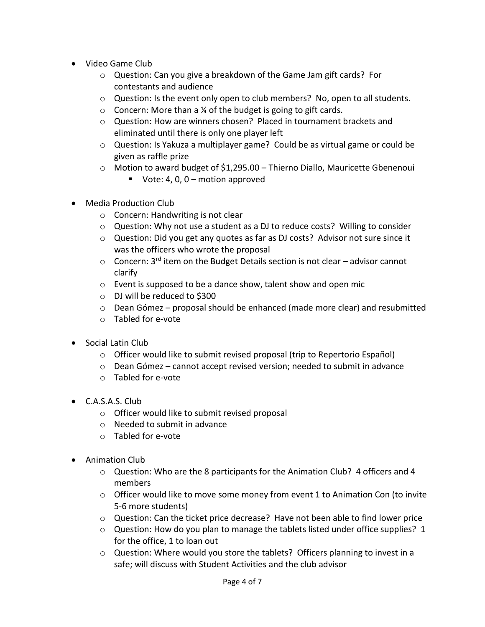- Video Game Club
	- o Question: Can you give a breakdown of the Game Jam gift cards? For contestants and audience
	- $\circ$  Question: Is the event only open to club members? No, open to all students.
	- $\circ$  Concern: More than a ¼ of the budget is going to gift cards.
	- o Question: How are winners chosen? Placed in tournament brackets and eliminated until there is only one player left
	- $\circ$  Question: Is Yakuza a multiplayer game? Could be as virtual game or could be given as raffle prize
	- o Motion to award budget of \$1,295.00 Thierno Diallo, Mauricette Gbenenoui
		- Vote: 4, 0,  $0 -$  motion approved
- Media Production Club
	- o Concern: Handwriting is not clear
	- o Question: Why not use a student as a DJ to reduce costs? Willing to consider
	- o Question: Did you get any quotes as far as DJ costs? Advisor not sure since it was the officers who wrote the proposal
	- $\circ$  Concern: 3<sup>rd</sup> item on the Budget Details section is not clear advisor cannot clarify
	- o Event is supposed to be a dance show, talent show and open mic
	- o DJ will be reduced to \$300
	- $\circ$  Dean Gómez proposal should be enhanced (made more clear) and resubmitted
	- o Tabled for e-vote
- Social Latin Club
	- $\circ$  Officer would like to submit revised proposal (trip to Repertorio Español)
	- $\circ$  Dean Gómez cannot accept revised version; needed to submit in advance
	- o Tabled for e-vote
- C.A.S.A.S. Club
	- o Officer would like to submit revised proposal
	- o Needed to submit in advance
	- o Tabled for e-vote
- Animation Club
	- $\circ$  Question: Who are the 8 participants for the Animation Club? 4 officers and 4 members
	- $\circ$  Officer would like to move some money from event 1 to Animation Con (to invite 5-6 more students)
	- o Question: Can the ticket price decrease? Have not been able to find lower price
	- o Question: How do you plan to manage the tablets listed under office supplies? 1 for the office, 1 to loan out
	- o Question: Where would you store the tablets? Officers planning to invest in a safe; will discuss with Student Activities and the club advisor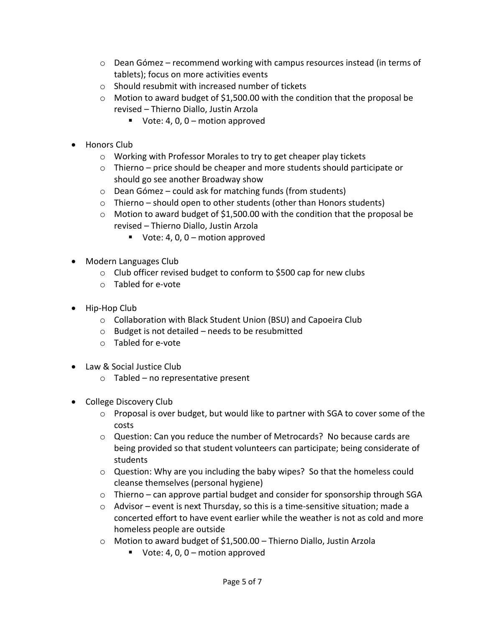- $\circ$  Dean Gómez recommend working with campus resources instead (in terms of tablets); focus on more activities events
- o Should resubmit with increased number of tickets
- o Motion to award budget of \$1,500.00 with the condition that the proposal be revised – Thierno Diallo, Justin Arzola
	- Vote: 4, 0, 0 motion approved
- Honors Club
	- o Working with Professor Morales to try to get cheaper play tickets
	- $\circ$  Thierno price should be cheaper and more students should participate or should go see another Broadway show
	- o Dean Gómez could ask for matching funds (from students)
	- o Thierno should open to other students (other than Honors students)
	- $\circ$  Motion to award budget of \$1,500.00 with the condition that the proposal be revised – Thierno Diallo, Justin Arzola
		- Vote: 4, 0,  $0 -$  motion approved
- Modern Languages Club
	- o Club officer revised budget to conform to \$500 cap for new clubs
	- o Tabled for e-vote
- Hip-Hop Club
	- o Collaboration with Black Student Union (BSU) and Capoeira Club
	- $\circ$  Budget is not detailed needs to be resubmitted
	- o Tabled for e-vote
- Law & Social Justice Club
	- o Tabled no representative present
- College Discovery Club
	- o Proposal is over budget, but would like to partner with SGA to cover some of the costs
	- o Question: Can you reduce the number of Metrocards? No because cards are being provided so that student volunteers can participate; being considerate of students
	- $\circ$  Question: Why are you including the baby wipes? So that the homeless could cleanse themselves (personal hygiene)
	- $\circ$  Thierno can approve partial budget and consider for sponsorship through SGA
	- $\circ$  Advisor event is next Thursday, so this is a time-sensitive situation; made a concerted effort to have event earlier while the weather is not as cold and more homeless people are outside
	- $\circ$  Motion to award budget of \$1,500.00 Thierno Diallo, Justin Arzola
		- Vote: 4, 0,  $0 -$  motion approved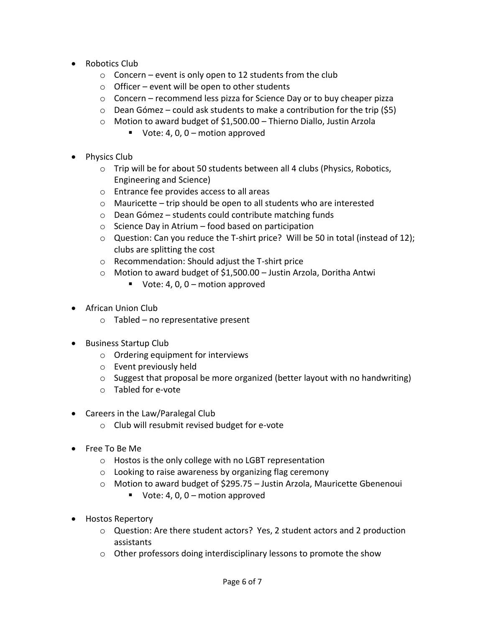- Robotics Club
	- $\circ$  Concern event is only open to 12 students from the club
	- $\circ$  Officer event will be open to other students
	- $\circ$  Concern recommend less pizza for Science Day or to buy cheaper pizza
	- $\circ$  Dean Gómez could ask students to make a contribution for the trip (\$5)
	- o Motion to award budget of \$1,500.00 Thierno Diallo, Justin Arzola
		- Vote: 4, 0, 0 motion approved
- Physics Club
	- $\circ$  Trip will be for about 50 students between all 4 clubs (Physics, Robotics, Engineering and Science)
	- o Entrance fee provides access to all areas
	- o Mauricette trip should be open to all students who are interested
	- o Dean Gómez students could contribute matching funds
	- $\circ$  Science Day in Atrium food based on participation
	- $\circ$  Question: Can you reduce the T-shirt price? Will be 50 in total (instead of 12); clubs are splitting the cost
	- o Recommendation: Should adjust the T-shirt price
	- o Motion to award budget of \$1,500.00 Justin Arzola, Doritha Antwi
		- Vote:  $4, 0, 0$  motion approved
- African Union Club
	- $\circ$  Tabled no representative present
- Business Startup Club
	- o Ordering equipment for interviews
	- o Event previously held
	- o Suggest that proposal be more organized (better layout with no handwriting)
	- o Tabled for e-vote
- Careers in the Law/Paralegal Club
	- o Club will resubmit revised budget for e-vote
- Free To Be Me
	- o Hostos is the only college with no LGBT representation
	- o Looking to raise awareness by organizing flag ceremony
	- o Motion to award budget of \$295.75 Justin Arzola, Mauricette Gbenenoui
		- Vote: 4, 0,  $0 -$  motion approved
- Hostos Repertory
	- o Question: Are there student actors? Yes, 2 student actors and 2 production assistants
	- o Other professors doing interdisciplinary lessons to promote the show